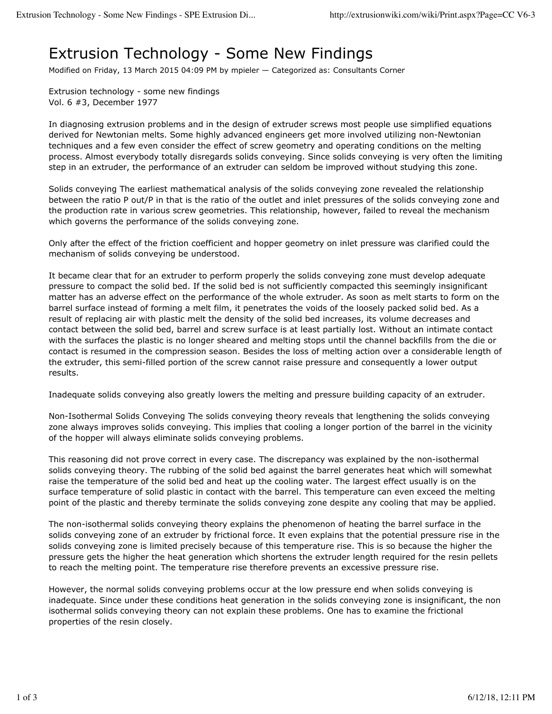## Extrusion Technology - Some New Findings

Modified on Friday, 13 March 2015 04:09 PM by mpieler — Categorized as: Consultants Corner

Extrusion technology - some new findings Vol. 6 #3, December 1977

In diagnosing extrusion problems and in the design of extruder screws most people use simplified equations derived for Newtonian melts. Some highly advanced engineers get more involved utilizing non-Newtonian techniques and a few even consider the effect of screw geometry and operating conditions on the melting process. Almost everybody totally disregards solids conveying. Since solids conveying is very often the limiting step in an extruder, the performance of an extruder can seldom be improved without studying this zone.

Solids conveying The earliest mathematical analysis of the solids conveying zone revealed the relationship between the ratio P out/P in that is the ratio of the outlet and inlet pressures of the solids conveying zone and the production rate in various screw geometries. This relationship, however, failed to reveal the mechanism which governs the performance of the solids conveying zone.

Only after the effect of the friction coefficient and hopper geometry on inlet pressure was clarified could the mechanism of solids conveying be understood.

It became clear that for an extruder to perform properly the solids conveying zone must develop adequate pressure to compact the solid bed. If the solid bed is not sufficiently compacted this seemingly insignificant matter has an adverse effect on the performance of the whole extruder. As soon as melt starts to form on the barrel surface instead of forming a melt film, it penetrates the voids of the loosely packed solid bed. As a result of replacing air with plastic melt the density of the solid bed increases, its volume decreases and contact between the solid bed, barrel and screw surface is at least partially lost. Without an intimate contact with the surfaces the plastic is no longer sheared and melting stops until the channel backfills from the die or contact is resumed in the compression season. Besides the loss of melting action over a considerable length of the extruder, this semi-filled portion of the screw cannot raise pressure and consequently a lower output results.

Inadequate solids conveying also greatly lowers the melting and pressure building capacity of an extruder.

Non-Isothermal Solids Conveying The solids conveying theory reveals that lengthening the solids conveying zone always improves solids conveying. This implies that cooling a longer portion of the barrel in the vicinity of the hopper will always eliminate solids conveying problems.

This reasoning did not prove correct in every case. The discrepancy was explained by the non-isothermal solids conveying theory. The rubbing of the solid bed against the barrel generates heat which will somewhat raise the temperature of the solid bed and heat up the cooling water. The largest effect usually is on the surface temperature of solid plastic in contact with the barrel. This temperature can even exceed the melting point of the plastic and thereby terminate the solids conveying zone despite any cooling that may be applied.

The non-isothermal solids conveying theory explains the phenomenon of heating the barrel surface in the solids conveying zone of an extruder by frictional force. It even explains that the potential pressure rise in the solids conveying zone is limited precisely because of this temperature rise. This is so because the higher the pressure gets the higher the heat generation which shortens the extruder length required for the resin pellets to reach the melting point. The temperature rise therefore prevents an excessive pressure rise.

However, the normal solids conveying problems occur at the low pressure end when solids conveying is inadequate. Since under these conditions heat generation in the solids conveying zone is insignificant, the non isothermal solids conveying theory can not explain these problems. One has to examine the frictional properties of the resin closely.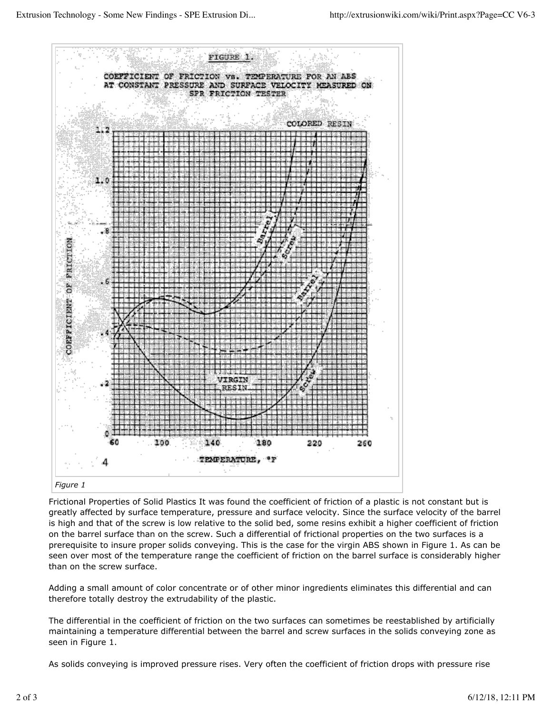

Frictional Properties of Solid Plastics It was found the coefficient of friction of a plastic is not constant but is greatly affected by surface temperature, pressure and surface velocity. Since the surface velocity of the barrel is high and that of the screw is low relative to the solid bed, some resins exhibit a higher coefficient of friction on the barrel surface than on the screw. Such a differential of frictional properties on the two surfaces is a prerequisite to insure proper solids conveying. This is the case for the virgin ABS shown in Figure 1. As can be seen over most of the temperature range the coefficient of friction on the barrel surface is considerably higher than on the screw surface.

Adding a small amount of color concentrate or of other minor ingredients eliminates this differential and can therefore totally destroy the extrudability of the plastic.

The differential in the coefficient of friction on the two surfaces can sometimes be reestablished by artificially maintaining a temperature differential between the barrel and screw surfaces in the solids conveying zone as seen in Figure 1.

As solids conveying is improved pressure rises. Very often the coefficient of friction drops with pressure rise